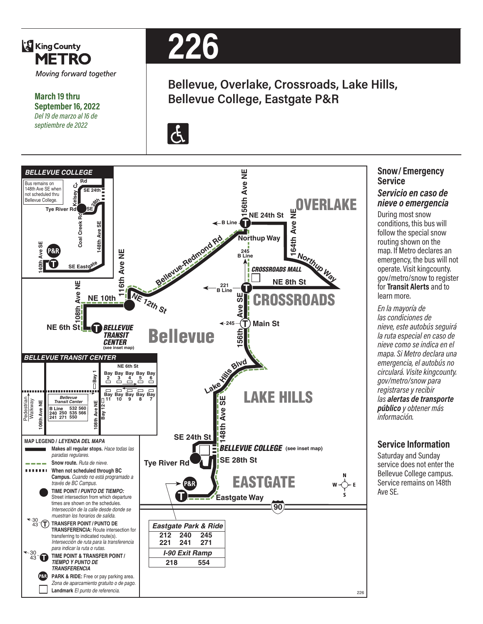

# **Snow/ Emergency Service**

#### *Servicio en caso de nieve o emergencia*

During most snow conditions, this bus will follow the special snow routing shown on the map. If Metro declares an emergency, the bus will not operate. Visit kingcounty. gov/metro/snow to register for **Transit Alerts** and to learn more.

*En la mayoría de las condiciones de nieve, este autobús seguirá la ruta especial en caso de nieve como se indica en el mapa. Si Metro declara una emergencia, el autobús no circulará. Visite kingcounty. gov/metro/snow para registrarse y recibir las alertas de transporte público y obtener más información.*

### **Service Information**

Saturday and Sunday service does not enter the Bellevue College campus. Service remains on 148th Ave SE.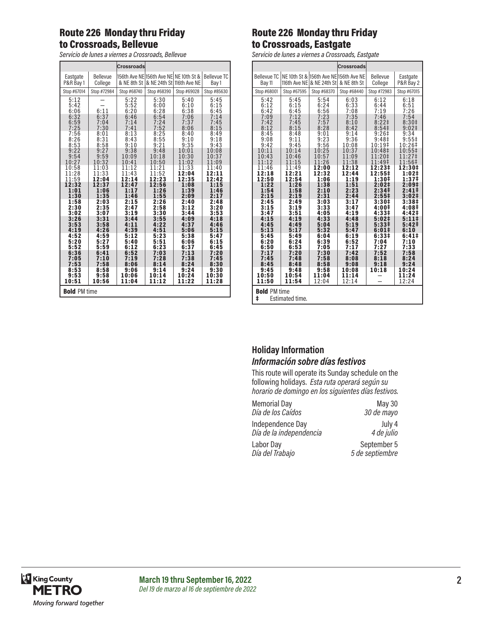### Route 226 Monday thru Friday to Crossroads, Bellevue

*Servicio de lunes a viernes a Crossroads, Bellevue*

### Route 226 Monday thru Friday to Crossroads, Eastgate

*Servicio de lunes a viernes a Crossroads, Eastgate*

|                                             |              |              | Crossroads                                            |                     |                       |
|---------------------------------------------|--------------|--------------|-------------------------------------------------------|---------------------|-----------------------|
| <b>Bellevue TC</b><br>Bay 11                | 116th Ave NE | & NE 24th St | NE 10th St & 156th Ave NE 156th Ave NE<br>& NE 8th St | Bellevue<br>College | Eastgate<br>P&R Bay 2 |
| Stop #68001                                 | Stop #67595  | Stop #68370  | Stop #68440                                           | Stop #72983         | Stop #67015           |
| 5:42                                        | 5:45         | 5:54         | 6:03                                                  | 6:12                | 6:18                  |
| 6:12                                        | 6:15         | 6:24         | 6:33                                                  | 6:44                | 6:51                  |
| 6:42                                        | 6:45         | 6:56         | 7:08                                                  | 7:19                | 7:26                  |
| 7:09                                        | 7:12         | 7:23         | 7:35                                                  | 7:46                | 7:54                  |
| 7:42                                        | 7:45         | 7:57         | 8:10                                                  | 8:221               | 8:30 <sup>‡</sup>     |
| 8:12                                        | 8:15         | 8:28         | 8:42                                                  | 8:54 <sup>‡</sup>   | 9:02 <sup>‡</sup>     |
| 8:45                                        | 8:48         | 9:01         | 9:14                                                  | 9:26#               | 9:34                  |
| 9:08                                        | 9:11         | 9:23         | 9:36                                                  | 9:48‡               | $9:55^{\ddagger}$     |
| 9:42                                        | 9:45         | 9:56         | 10:08                                                 | 10:19‡              | 10:26‡                |
| 10:11                                       | 10:14        | 10:25        | 10:37                                                 | 10:48‡              | 10:55‡                |
| 10:43                                       | 10:46        | 10:57        | 11:09                                                 | 11:20‡              | 11:27‡                |
| 11:12                                       | 11:15        | 11:26        | 11:38                                                 | 11:49‡              | 11:56‡                |
| 11:46                                       | 11:49        | 12:00        | 12:12                                                 | 12:23‡              | 12:30‡                |
| 12:18                                       | 12:21        | 12:32        | 12:44                                                 | 12:55‡              | 1:02‡                 |
| 12:50                                       | 12:54        | 1:06         | 1:19                                                  | 1:30‡               | 1:37‡                 |
| 1:22                                        | 1:26         | 1:38         | 1:51                                                  | 2:02 <sup>‡</sup>   | 2:09 <sup>‡</sup>     |
| 1:54                                        | 1:58         | 2:10         | 2:23                                                  | 2:34 <sup>‡</sup>   | $2:41 \;$             |
| 2:15                                        | 2:19         | 2:31         | 2:44                                                  | 2:55‡               | $3:02\ddagger$        |
| 2:45                                        | 2:49         | 3:03         | 3:17                                                  | 3:30#               | 3:38 <sup>‡</sup>     |
| 3:15                                        | 3:19         | 3:33         | 3:47                                                  | 4:00‡               | 4:08‡                 |
| 3:47                                        | 3:51         | 4:05         | 4:19                                                  | 4:33‡               | 4:42‡                 |
| 4:15                                        | 4:19         | 4:33         | 4:48                                                  | 5:02#               | 5:11                  |
| 4:45                                        | 4:49         | 5:04         | 5:19                                                  | 5:331               | 5:42 <sup>‡</sup>     |
| 5:13                                        | 5:17         | 5:32         | 5:47                                                  | $6:01\pm$           | 6:10                  |
| 5:45                                        | 5:49         | 6:04         | 6:19                                                  | 6:33‡               | $6:41 \;$             |
| 6:20                                        | 6:24         | 6:39         | 6:52                                                  | 7:04                | 7:10                  |
| 6:50                                        | 6:53         | 7:05         | 7:17                                                  | 7:27                | 7:33                  |
| 7:17                                        | 7:20         | 7:30         | 7:42                                                  | 7:52                | 7:58                  |
| 7:45                                        | 7:48         | 7:58         | 8:08                                                  | 8:18                | 8:24                  |
| 8:45                                        | 8:48         | 8:58         | 9:08                                                  | 9:18                | 9:24                  |
| 9:45                                        | 9:48         | 9:58         | 10:08                                                 | 10:18               | 10:24                 |
| 10:50                                       | 10:54        | 11:04        | 11:14                                                 |                     | 11:24                 |
| 11:50                                       | 11:54        | 12:04        | 12:14                                                 |                     | 12:24                 |
| <b>Bold PM time</b><br>ŧ<br>Estimated time. |              |              |                                                       |                     |                       |

#### **Holiday Information** *Información sobre días festivos*

This route will operate its Sunday schedule on the following holidays. *Esta ruta operará según su horario de domingo en los siguientes días festivos.*

| <b>Memorial Day</b>     | May 30          |
|-------------------------|-----------------|
| Día de los Caídos       | 30 de mayo      |
| Independence Day        | July 4          |
| Día de la independencia | 4 de julio      |
| Labor Day               | September 5     |
| Día del Trabajo         | 5 de septiembre |